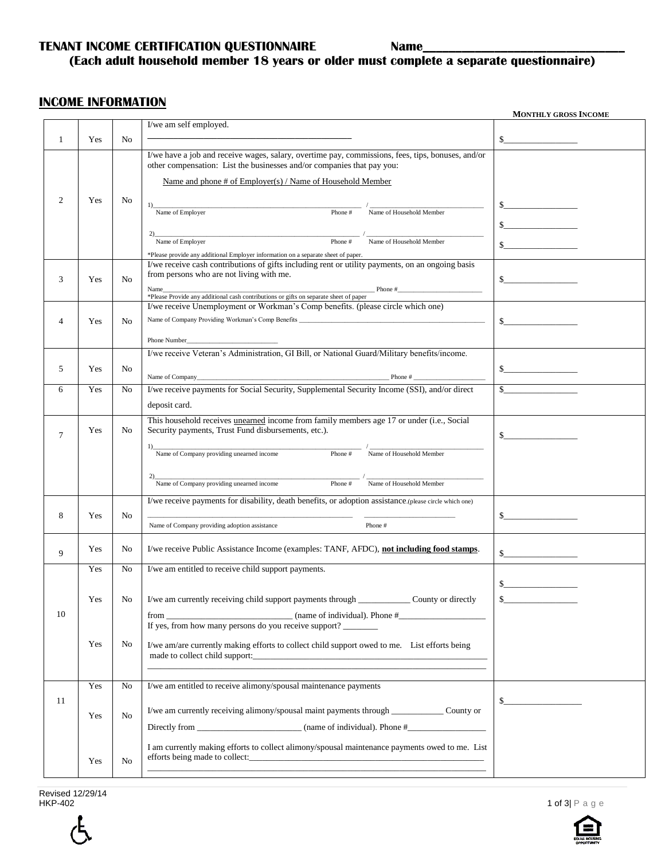#### **TENANT INCOME CERTIFICATION QUESTIONNAIRE Name\_**

## **(Each adult household member 18 years or older must complete a separate questionnaire)**

#### **INCOME INFORMATION**

|                 |     |                |                                                                                                                                                                                                                                | <b>MONTHLY GROSS INCOME</b>      |
|-----------------|-----|----------------|--------------------------------------------------------------------------------------------------------------------------------------------------------------------------------------------------------------------------------|----------------------------------|
|                 |     |                | I/we am self employed.                                                                                                                                                                                                         |                                  |
| 1               | Yes | N <sub>0</sub> |                                                                                                                                                                                                                                | $\sim$                           |
|                 |     |                | I/we have a job and receive wages, salary, overtime pay, commissions, fees, tips, bonuses, and/or<br>other compensation: List the businesses and/or companies that pay you:                                                    |                                  |
|                 |     |                | Name and phone # of Employer(s) / Name of Household Member                                                                                                                                                                     |                                  |
| 2               | Yes | No             | Name of Employer<br>1)<br>Phone #<br>Name of Household Member                                                                                                                                                                  |                                  |
|                 |     |                |                                                                                                                                                                                                                                | s                                |
|                 |     |                | $\sum_{\text{Name of Emplayer}}$<br>Name of Household Member<br>Phone#<br>*Please provide any additional Employer information on a separate sheet of paper.                                                                    | <u> 1999 - Johann Barnett, f</u> |
|                 |     |                | I/we receive cash contributions of gifts including rent or utility payments, on an ongoing basis                                                                                                                               |                                  |
| 3               | Yes | N <sub>o</sub> | from persons who are not living with me.                                                                                                                                                                                       | s                                |
|                 |     |                | Name Phone # Phone # Phone # Phone # Phone # Phone # Phone # Phone # Phone # Phone # Phone # Phone # Phone # Phone # Phone # Phone # Phone # Phone # Phone # Phone # Phone # Phone # Phone # Phone # Phone # Phone # Phone # P |                                  |
|                 |     |                | I/we receive Unemployment or Workman's Comp benefits. (please circle which one)                                                                                                                                                |                                  |
| $\overline{4}$  | Yes | N <sub>0</sub> |                                                                                                                                                                                                                                | $\sim$                           |
|                 |     |                | Phone Number                                                                                                                                                                                                                   |                                  |
|                 |     |                | I/we receive Veteran's Administration, GI Bill, or National Guard/Military benefits/income.                                                                                                                                    |                                  |
| 5               | Yes | No             |                                                                                                                                                                                                                                | s                                |
|                 |     |                |                                                                                                                                                                                                                                |                                  |
| 6               | Yes | No             | I/we receive payments for Social Security, Supplemental Security Income (SSI), and/or direct                                                                                                                                   |                                  |
|                 |     |                | deposit card.                                                                                                                                                                                                                  |                                  |
| $7\phantom{.0}$ | Yes | No             | This household receives unearned income from family members age 17 or under (i.e., Social<br>Security payments, Trust Fund disbursements, etc.).                                                                               |                                  |
|                 |     |                | Name of Company providing unearned income<br>Phone #<br>Name of Household Member<br>Phone $#$                                                                                                                                  |                                  |
|                 |     |                | $\frac{1}{\text{Name of Company providing un earned income}}$<br>Name of Household Member                                                                                                                                      |                                  |
|                 |     |                | I/we receive payments for disability, death benefits, or adoption assistance.(please circle which one)                                                                                                                         |                                  |
| 8               | Yes | No             | Phone #<br>Name of Company providing adoption assistance                                                                                                                                                                       | $\sim$                           |
| 9               | Yes | No             | I/we receive Public Assistance Income (examples: TANF, AFDC), not including food stamps.                                                                                                                                       |                                  |
|                 | Yes | No             | I/we am entitled to receive child support payments.                                                                                                                                                                            |                                  |
|                 |     |                |                                                                                                                                                                                                                                |                                  |
|                 | Yes | No             | I/we am currently receiving child support payments through County or directly                                                                                                                                                  |                                  |
| 10              |     |                | If yes, from how many persons do you receive support?                                                                                                                                                                          |                                  |
|                 | Yes | No             | I/we am/are currently making efforts to collect child support owed to me. List efforts being                                                                                                                                   |                                  |
|                 |     |                |                                                                                                                                                                                                                                |                                  |
|                 | Yes | No             | I/we am entitled to receive alimony/spousal maintenance payments                                                                                                                                                               |                                  |
| 11              |     |                |                                                                                                                                                                                                                                |                                  |
|                 | Yes | No             | I/we am currently receiving alimony/spousal maint payments through ______________ County or                                                                                                                                    |                                  |
|                 |     |                |                                                                                                                                                                                                                                |                                  |
|                 | Yes | No             | I am currently making efforts to collect alimony/spousal maintenance payments owed to me. List<br>efforts being made to collect:                                                                                               |                                  |
|                 |     |                |                                                                                                                                                                                                                                |                                  |

Revised 12/29/14<br>HKP-402



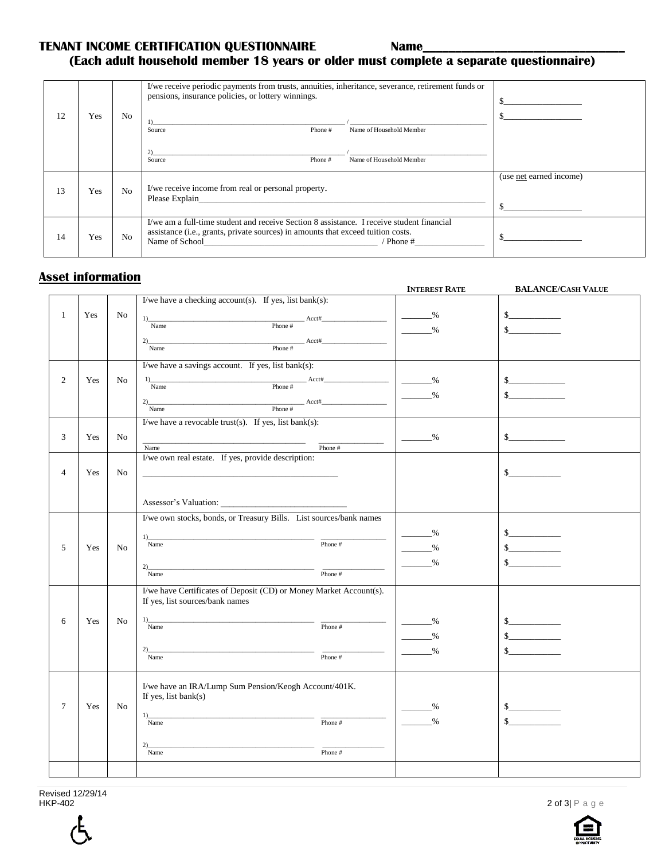#### **TENANT INCOME CERTIFICATION QUESTIONNAIRE Name\_**

## **(Each adult household member 18 years or older must complete a separate questionnaire)**

| 12 | Yes | N <sub>o</sub> | I/we receive periodic payments from trusts, annuities, inheritance, severance, retirement funds or<br>pensions, insurance policies, or lottery winnings.<br>Phone #<br>Name of Household Member<br>Source                 |                         |
|----|-----|----------------|---------------------------------------------------------------------------------------------------------------------------------------------------------------------------------------------------------------------------|-------------------------|
|    |     |                | Phone#<br>Name of Household Member<br>Source                                                                                                                                                                              |                         |
| 13 | Yes | N <sub>o</sub> | I/we receive income from real or personal property.<br>Please Explain                                                                                                                                                     | (use net earned income) |
| 14 | Yes | N <sub>o</sub> | I/we am a full-time student and receive Section 8 assistance. I receive student financial<br>assistance (i.e., grants, private sources) in amounts that exceed tuition costs.<br>Name of School Name of School<br>Phone # |                         |

### **Asset information**

|                |     |                |                                                                                                                                                                                                                                                                                                                                                                                                                                                                                                                                                                                           | <b>INTEREST RATE</b>               | <b>BALANCE/CASH VALUE</b> |
|----------------|-----|----------------|-------------------------------------------------------------------------------------------------------------------------------------------------------------------------------------------------------------------------------------------------------------------------------------------------------------------------------------------------------------------------------------------------------------------------------------------------------------------------------------------------------------------------------------------------------------------------------------------|------------------------------------|---------------------------|
|                |     |                | I/we have a checking $account(s)$ . If yes, list $bank(s)$ :                                                                                                                                                                                                                                                                                                                                                                                                                                                                                                                              |                                    |                           |
| $\mathbf{1}$   | Yes | N <sub>o</sub> |                                                                                                                                                                                                                                                                                                                                                                                                                                                                                                                                                                                           | $\frac{9}{6}$                      | s                         |
|                |     |                |                                                                                                                                                                                                                                                                                                                                                                                                                                                                                                                                                                                           | $\frac{9}{6}$                      | $\mathbb{S}$              |
|                |     |                | $2)$ $\overline{\text{Name}}$ $\text{Note:}$ $\frac{1}{2}$ $\overline{\text{None}}$ $\frac{1}{2}$ $\overline{\text{None}}$ $\frac{1}{2}$ $\overline{\text{None}}$ $\frac{1}{2}$ $\overline{\text{None}}$ $\frac{1}{2}$ $\overline{\text{None}}$ $\frac{1}{2}$ $\overline{\text{None}}$ $\frac{1}{2}$ $\overline{\text{None}}$ $\frac{1}{2}$ $\overline{\text{None}}$ $\frac{1}{2}$ $\overline{\text{None}}$ $\frac{1}{2$                                                                                                                                                                  |                                    |                           |
|                |     |                |                                                                                                                                                                                                                                                                                                                                                                                                                                                                                                                                                                                           |                                    |                           |
|                |     |                | I/we have a savings account. If yes, list bank(s):                                                                                                                                                                                                                                                                                                                                                                                                                                                                                                                                        |                                    |                           |
| $\overline{2}$ | Yes | No             | $1)$ $\overline{\text{Name}}$ $\text{Phone}$ #                                                                                                                                                                                                                                                                                                                                                                                                                                                                                                                                            | $\sim$ $\frac{\%}{\%}$             | s                         |
|                |     |                |                                                                                                                                                                                                                                                                                                                                                                                                                                                                                                                                                                                           | $\frac{9}{6}$                      | $\mathbf{s}$              |
|                |     |                | $\begin{array}{c}\n\text{Phone } \# \quad \text{Acct#} \quad \text{Acct#} \quad \text{Area} \quad \text{Area} \quad \text{Area} \quad \text{Area} \quad \text{Area} \quad \text{Area} \quad \text{Area} \quad \text{Area} \quad \text{Area} \quad \text{Area} \quad \text{Area} \quad \text{Area} \quad \text{Area} \quad \text{Area} \quad \text{Area} \quad \text{Area} \quad \text{Area} \quad \text{Area} \quad \text{Area} \quad \text{Area} \quad \text{Area} \quad \text{Area} \quad \text{Area} \quad \text{Area} \quad \text{Area} \quad \text{Area} \quad \text{$<br>2)<br>Name |                                    |                           |
|                |     |                | I/we have a revocable trust(s). If yes, list bank(s):                                                                                                                                                                                                                                                                                                                                                                                                                                                                                                                                     |                                    |                           |
| 3              | Yes | No.            |                                                                                                                                                                                                                                                                                                                                                                                                                                                                                                                                                                                           | $\frac{9}{6}$                      | s                         |
|                |     |                | Phone #<br>Name                                                                                                                                                                                                                                                                                                                                                                                                                                                                                                                                                                           |                                    |                           |
|                |     |                | I/we own real estate. If yes, provide description:                                                                                                                                                                                                                                                                                                                                                                                                                                                                                                                                        |                                    |                           |
| $\overline{4}$ | Yes | N <sub>o</sub> |                                                                                                                                                                                                                                                                                                                                                                                                                                                                                                                                                                                           |                                    | s                         |
|                |     |                |                                                                                                                                                                                                                                                                                                                                                                                                                                                                                                                                                                                           |                                    |                           |
|                |     |                |                                                                                                                                                                                                                                                                                                                                                                                                                                                                                                                                                                                           |                                    |                           |
|                |     |                | I/we own stocks, bonds, or Treasury Bills. List sources/bank names                                                                                                                                                                                                                                                                                                                                                                                                                                                                                                                        |                                    |                           |
|                |     |                |                                                                                                                                                                                                                                                                                                                                                                                                                                                                                                                                                                                           | $\frac{0}{2}$                      | s                         |
|                |     |                | 1)<br>Phone #<br>Name                                                                                                                                                                                                                                                                                                                                                                                                                                                                                                                                                                     |                                    |                           |
| 5              | Yes | No             |                                                                                                                                                                                                                                                                                                                                                                                                                                                                                                                                                                                           | $\%$<br>$\mathcal{L}^{\text{max}}$ | s                         |
|                |     |                | 2)                                                                                                                                                                                                                                                                                                                                                                                                                                                                                                                                                                                        | $\frac{0}{0}$                      | $\mathbb{S}$              |
|                |     |                | Phone #<br>Name                                                                                                                                                                                                                                                                                                                                                                                                                                                                                                                                                                           |                                    |                           |
|                |     |                | I/we have Certificates of Deposit (CD) or Money Market Account(s).                                                                                                                                                                                                                                                                                                                                                                                                                                                                                                                        |                                    |                           |
|                |     |                | If yes, list sources/bank names                                                                                                                                                                                                                                                                                                                                                                                                                                                                                                                                                           |                                    |                           |
| 6              | Yes | N <sub>o</sub> | 1)                                                                                                                                                                                                                                                                                                                                                                                                                                                                                                                                                                                        | $\%$                               | s                         |
|                |     |                | Phone $#$<br>Name                                                                                                                                                                                                                                                                                                                                                                                                                                                                                                                                                                         | $\%$<br>$\overline{\phantom{a}}$   | s                         |
|                |     |                | 2)                                                                                                                                                                                                                                                                                                                                                                                                                                                                                                                                                                                        | $\frac{0}{0}$                      | $\mathsf{\$}$             |
|                |     |                | Phone #<br>Name                                                                                                                                                                                                                                                                                                                                                                                                                                                                                                                                                                           |                                    |                           |
|                |     |                |                                                                                                                                                                                                                                                                                                                                                                                                                                                                                                                                                                                           |                                    |                           |
|                |     |                | I/we have an IRA/Lump Sum Pension/Keogh Account/401K.                                                                                                                                                                                                                                                                                                                                                                                                                                                                                                                                     |                                    |                           |
| $\overline{7}$ |     |                | If yes, list bank $(s)$                                                                                                                                                                                                                                                                                                                                                                                                                                                                                                                                                                   |                                    |                           |
|                | Yes | No.            |                                                                                                                                                                                                                                                                                                                                                                                                                                                                                                                                                                                           | $\frac{0}{0}$                      | s                         |
|                |     |                | Phone #<br>Name                                                                                                                                                                                                                                                                                                                                                                                                                                                                                                                                                                           | $\%$                               | $\sim$                    |
|                |     |                | 2)                                                                                                                                                                                                                                                                                                                                                                                                                                                                                                                                                                                        |                                    |                           |
|                |     |                | Phone $#$<br>Name                                                                                                                                                                                                                                                                                                                                                                                                                                                                                                                                                                         |                                    |                           |
|                |     |                |                                                                                                                                                                                                                                                                                                                                                                                                                                                                                                                                                                                           |                                    |                           |
|                |     |                |                                                                                                                                                                                                                                                                                                                                                                                                                                                                                                                                                                                           |                                    |                           |

Revised 12/29/14<br>HKP-402



2 of 3 $|$  P a g e